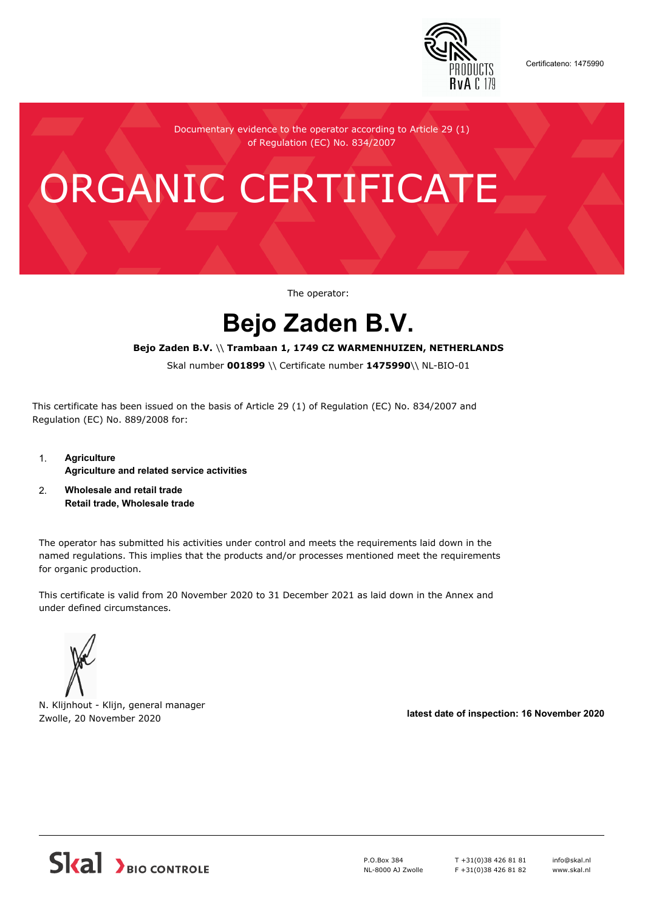

Certificateno: 1475990

Documentary evidence to the operator according to Article 29 (1) of Regulation (EC) No. 834/2007

# ORGANIC CERTIFICATE

The operator:

# **Bejo Zaden B.V.**

## **Bejo Zaden B.V.** \\ **Trambaan 1, 1749 CZ WARMENHUIZEN, NETHERLANDS**

Skal number **001899** \\ Certificate number **1475990**\\ NL-BIO-01

This certificate has been issued on the basis of Article 29 (1) of Regulation (EC) No. 834/2007 and Regulation (EC) No. 889/2008 for:

- 1. **Agriculture Agriculture and related service activities**
- 2. **Wholesale and retail trade Retail trade, Wholesale trade**

The operator has submitted his activities under control and meets the requirements laid down in the named regulations. This implies that the products and/or processes mentioned meet the requirements for organic production.

This certificate is valid from 20 November 2020 to 31 December 2021 as laid down in the Annex and under defined circumstances.



N. Klijnhout - Klijn, general manager Zwolle, 20 November 2020 **latest date of inspection: 16 November 2020**



P.O.Box 384 NL-8000 AJ Zwolle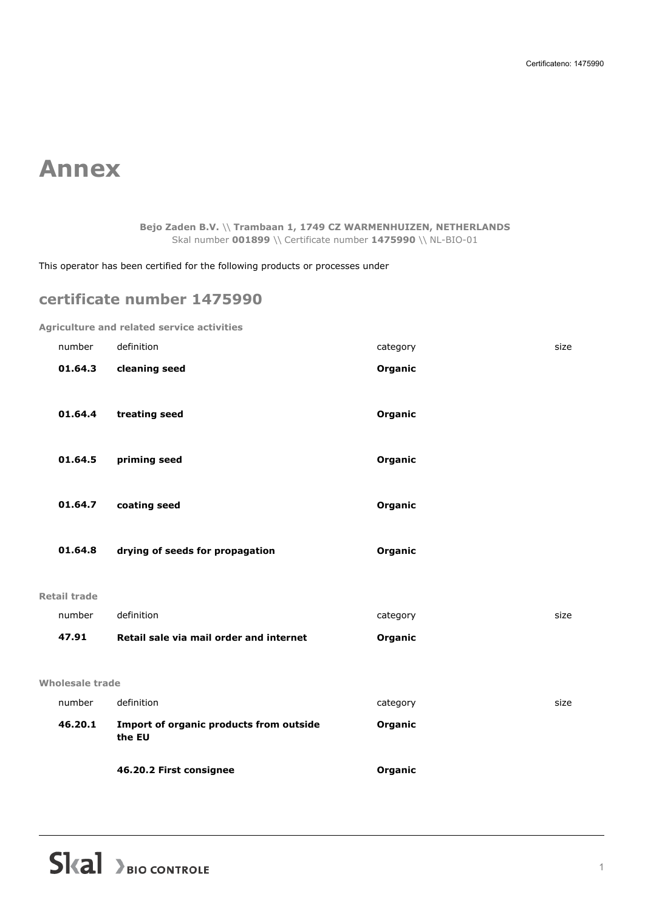# **Annex**

**Bejo Zaden B.V.** \\ **Trambaan 1, 1749 CZ WARMENHUIZEN, NETHERLANDS** Skal number **001899** \\ Certificate number **1475990** \\ NL-BIO-01

This operator has been certified for the following products or processes under

# **certificate number 1475990**

**Agriculture and related service activities**

|                        | 46.20.2 First consignee                           | Organic  |      |
|------------------------|---------------------------------------------------|----------|------|
| 46.20.1                | Import of organic products from outside<br>the EU | Organic  |      |
| number                 | definition                                        | category | size |
| <b>Wholesale trade</b> |                                                   |          |      |
|                        |                                                   |          |      |
| 47.91                  | Retail sale via mail order and internet           | Organic  |      |
| number                 | definition                                        | category | size |
| <b>Retail trade</b>    |                                                   |          |      |
| 01.64.8                | drying of seeds for propagation                   | Organic  |      |
|                        |                                                   |          |      |
| 01.64.7                | coating seed                                      | Organic  |      |
|                        |                                                   |          |      |
| 01.64.5                | priming seed                                      | Organic  |      |
| 01.64.4                | treating seed                                     | Organic  |      |
| 01.64.3                | cleaning seed                                     | Organic  |      |
| number                 | definition                                        | category | size |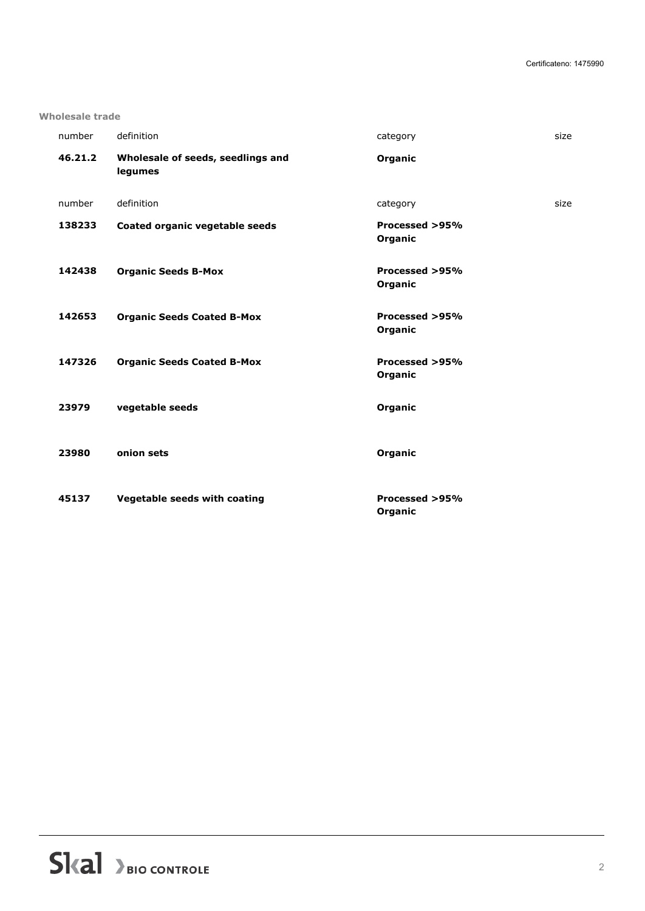#### **Wholesale trade**

| number  | definition                                   | category                  | size |
|---------|----------------------------------------------|---------------------------|------|
| 46.21.2 | Wholesale of seeds, seedlings and<br>legumes | Organic                   |      |
| number  | definition                                   | category                  | size |
| 138233  | Coated organic vegetable seeds               | Processed >95%<br>Organic |      |
| 142438  | <b>Organic Seeds B-Mox</b>                   | Processed >95%<br>Organic |      |
| 142653  | <b>Organic Seeds Coated B-Mox</b>            | Processed >95%<br>Organic |      |
| 147326  | <b>Organic Seeds Coated B-Mox</b>            | Processed >95%<br>Organic |      |
| 23979   | vegetable seeds                              | Organic                   |      |
| 23980   | onion sets                                   | Organic                   |      |
| 45137   | <b>Vegetable seeds with coating</b>          | Processed >95%<br>Organic |      |